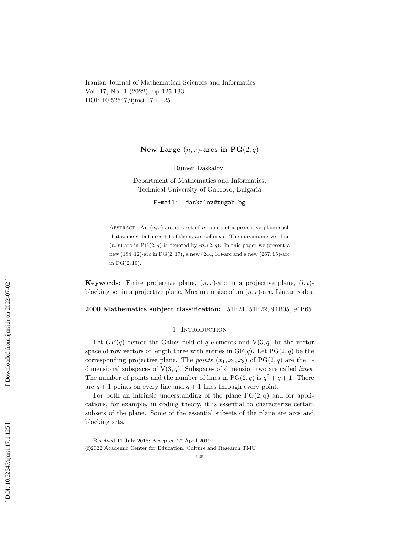Iranian Journal of Mathematical Sciences and Informatics Vol. 17, No. 1 (2022), pp 125-133 DOI: 10.52547/ijmsi.17.1.125

# New Large  $(n, r)$ -arcs in  $PG(2, q)$

Rumen Daskalov

Department of Mathematics and Informatics, Technical University of Gabrovo, Bulgaria

E-mail: daskalov@tugab.bg

ABSTRACT. An  $(n, r)$ -arc is a set of *n* points of a projective plane such that some  $r$ , but no  $r + 1$  of them, are collinear. The maximum size of an  $(n, r)$ -arc in PG $(2, q)$  is denoted by  $m_r(2, q)$ . In this paper we present a new (184, 12)-arc in PG(2, 17), a new (244, 14)-arc and a new (267, 15)-arc in  $PG(2, 19)$ .

**Keywords:** Finite projective plane,  $(n, r)$ -arc in a projective plane,  $(l, t)$ blocking set in a projective plane, Maximum size of an  $(n, r)$ -arc, Linear codes.

2000 Mathematics subject classification: 51E21, 51E22, 94B05, 94B65.

# 1. INTRODUCTION

Let  $GF(q)$  denote the Galois field of q elements and  $V(3, q)$  be the vector space of row vectors of length three with entries in  $GF(q)$ . Let  $PG(2, q)$  be the corresponding projective plane. The *points*  $(x_1, x_2, x_3)$  of  $PG(2, q)$  are the 1dimensional subspaces of  $V(3, q)$ . Subspaces of dimension two are called *lines*. The number of points and the number of lines in  $PG(2, q)$  is  $q^2 + q + 1$ . There are  $q + 1$  points on every line and  $q + 1$  lines through every point.

For both an intrinsic understanding of the plane  $PG(2, q)$  and for applications, for example, in coding theory, it is essential to characterize certain subsets of the plane. Some of the essential subsets of the plane are arcs and blocking sets.

Received 11 July 2018; Accepted 27 April 2019

c 2022 Academic Center for Education, Culture and Research TMU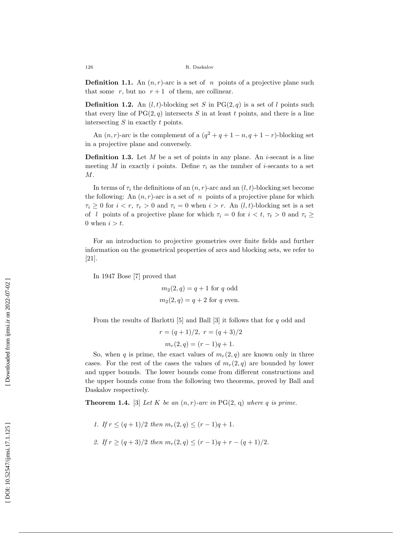**Definition 1.1.** An  $(n, r)$ -arc is a set of n points of a projective plane such that some  $r$ , but no  $r + 1$  of them, are collinear.

**Definition 1.2.** An  $(l, t)$ -blocking set S in PG $(2, q)$  is a set of l points such that every line of  $PG(2, q)$  intersects S in at least t points, and there is a line intersecting S in exactly t points.

An  $(n, r)$ -arc is the complement of a  $(q^2 + q + 1 - n, q + 1 - r)$ -blocking set in a projective plane and conversely.

**Definition 1.3.** Let  $M$  be a set of points in any plane. An *i*-secant is a line meeting M in exactly i points. Define  $\tau_i$  as the number of *i*-secants to a set  $M$ .

In terms of  $\tau_i$  the definitions of an  $(n, r)$ -arc and an  $(l, t)$ -blocking set become the following: An  $(n, r)$ -arc is a set of n points of a projective plane for which  $\tau_i \geq 0$  for  $i < r, \tau_r > 0$  and  $\tau_i = 0$  when  $i > r$ . An  $(l, t)$ -blocking set is a set of l points of a projective plane for which  $\tau_i = 0$  for  $i < t, \tau_t > 0$  and  $\tau_i \geq$ 0 when  $i > t$ .

For an introduction to projective geometries over finite fields and further information on the geometrical properties of arcs and blocking sets, we refer to [21].

In 1947 Bose [7] proved that

 $m_2(2,q) = q + 1$  for q odd  $m_2(2,q) = q + 2$  for q even.

From the results of Barlotti  $[5]$  and Ball  $[3]$  it follows that for q odd and

$$
r = (q+1)/2, r = (q+3)/2
$$

$$
m_r(2,q) = (r-1)q + 1.
$$

So, when q is prime, the exact values of  $m_r(2, q)$  are known only in three cases. For the rest of the cases the values of  $m_r(2,q)$  are bounded by lower and upper bounds. The lower bounds come from different constructions and the upper bounds come from the following two theorems, proved by Ball and Daskalov respectively.

**Theorem 1.4.** [3] Let K be an  $(n, r)$ -arc in PG(2, q) where q is prime.

1. If  $r \leq (q+1)/2$  then  $m_r(2,q) \leq (r-1)q + 1$ .

2. If 
$$
r \ge (q+3)/2
$$
 then  $m_r(2,q) \le (r-1)q + r - (q+1)/2$ .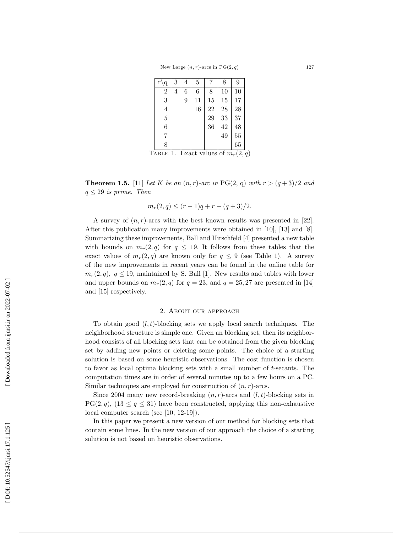| $r\backslash q$ | 3 | 4 | 5  | 7  | 8  | 9      |
|-----------------|---|---|----|----|----|--------|
| $\overline{2}$  | 4 | 6 | 6  | 8  | 10 | 10     |
| 3               |   | 9 | 11 | 15 | 15 | 17     |
| $\overline{4}$  |   |   | 16 | 22 | 28 | 28     |
| $\bf 5$         |   |   |    | 29 | 33 | 37     |
| 6               |   |   |    | 36 | 42 | 48     |
| 7               |   |   |    |    | 49 | 55     |
| 8               |   |   |    |    |    | $65\,$ |

TABLE 1. Exact values of  $m_r(2,q)$ 

**Theorem 1.5.** [11] Let K be an  $(n, r)$ -arc in PG(2, q) with  $r > (q+3)/2$  and  $q \leq 29$  is prime. Then

$$
m_r(2,q) \le (r-1)q + r - (q+3)/2.
$$

A survey of  $(n, r)$ -arcs with the best known results was presented in [22]. After this publication many improvements were obtained in [10], [13] and [8]. Summarizing these improvements, Ball and Hirschfeld [4] presented a new table with bounds on  $m_r(2,q)$  for  $q \leq 19$ . It follows from these tables that the exact values of  $m_r(2,q)$  are known only for  $q \leq 9$  (see Table 1). A survey of the new improvements in recent years can be found in the online table for  $m_r(2, q)$ ,  $q \leq 19$ , maintained by S. Ball [1]. New results and tables with lower and upper bounds on  $m_r(2,q)$  for  $q=23$ , and  $q=25,27$  are presented in [14] and [15] respectively.

## 2. About our approach

To obtain good  $(l, t)$ -blocking sets we apply local search techniques. The neighborhood structure is simple one. Given an blocking set, then its neighborhood consists of all blocking sets that can be obtained from the given blocking set by adding new points or deleting some points. The choice of a starting solution is based on some heuristic observations. The cost function is chosen to favor as local optima blocking sets with a small number of t-secants. The computation times are in order of several minutes up to a few hours on a PC. Similar techniques are employed for construction of  $(n, r)$ -arcs.

Since 2004 many new record-breaking  $(n, r)$ -arcs and  $(l, t)$ -blocking sets in  $PG(2, q)$ ,  $(13 \leq q \leq 31)$  have been constructed, applying this non-exhaustive local computer search (see [10, 12-19]).

In this paper we present a new version of our method for blocking sets that contain some lines. In the new version of our approach the choice of a starting solution is not based on heuristic observations.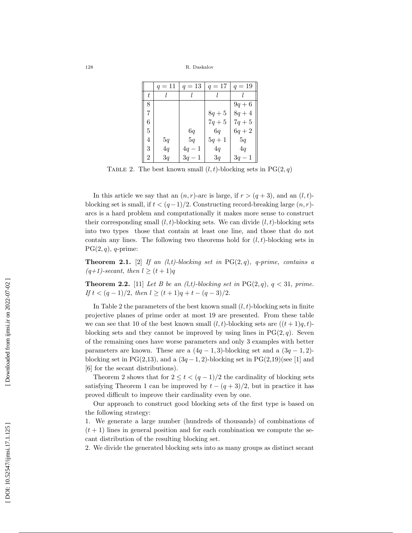<sup>128</sup> R. Daskalov

|   | $q=11$ | $q=13$   | $q = 17$ | $q = 19$ |
|---|--------|----------|----------|----------|
| t |        |          |          |          |
| 8 |        |          |          | $9q + 6$ |
| 7 |        |          | $8q + 5$ | $8q + 4$ |
| 6 |        |          | $7q + 5$ | $7q + 5$ |
| 5 |        | 6q       | 6q       | $6q + 2$ |
| 4 | 5q     | 5q       | $5q + 1$ | 5q       |
| 3 | 4q     | $4q-1$   | 4q       | 4q       |
| 2 | 3q     | $3q - 1$ | 3q       | $3q - 1$ |

TABLE 2. The best known small  $(l, t)$ -blocking sets in PG $(2, q)$ 

In this article we say that an  $(n, r)$ -arc is large, if  $r > (q + 3)$ , and an  $(l, t)$ blocking set is small, if  $t < (q-1)/2$ . Constructing record-breaking large  $(n, r)$ arcs is a hard problem and computationally it makes more sense to construct their corresponding small  $(l, t)$ -blocking sets. We can divide  $(l, t)$ -blocking sets into two types those that contain at least one line, and those that do not contain any lines. The following two theorems hold for  $(l, t)$ -blocking sets in  $PG(2, q)$ , q-prime:

**Theorem 2.1.** [2] If an (l,t)-blocking set in  $PG(2,q)$ , q-prime, contains a  $(q+1)$ -secant, then  $l \geq (t+1)q$ 

**Theorem 2.2.** [11] Let B be an (l,t)-blocking set in  $PG(2, q)$ ,  $q < 31$ , prime. If  $t < (q-1)/2$ , then  $l \ge (t+1)q + t - (q-3)/2$ .

In Table 2 the parameters of the best known small  $(l, t)$ -blocking sets in finite projective planes of prime order at most 19 are presented. From these table we can see that 10 of the best known small  $(l, t)$ -blocking sets are  $((t + 1)q, t)$ blocking sets and they cannot be improved by using lines in  $PG(2, q)$ . Seven of the remaining ones have worse parameters and only 3 examples with better parameters are known. These are a  $(4q-1, 3)$ -blocking set and a  $(3q-1, 2)$ blocking set in PG(2,13), and a  $(3q-1, 2)$ -blocking set in PG(2,19)(see [1] and [6] for the secant distributions).

Theorem 2 shows that for  $2 \le t < (q-1)/2$  the cardinality of blocking sets satisfying Theorem 1 can be improved by  $t-(q+3)/2$ , but in practice it has proved difficult to improve their cardinality even by one.

Our approach to construct good blocking sets of the first type is based on the following strategy:

1. We generate a large number (hundreds of thousands) of combinations of  $(t+1)$  lines in general position and for each combination we compute the secant distribution of the resulting blocking set.

2. We divide the generated blocking sets into as many groups as distinct secant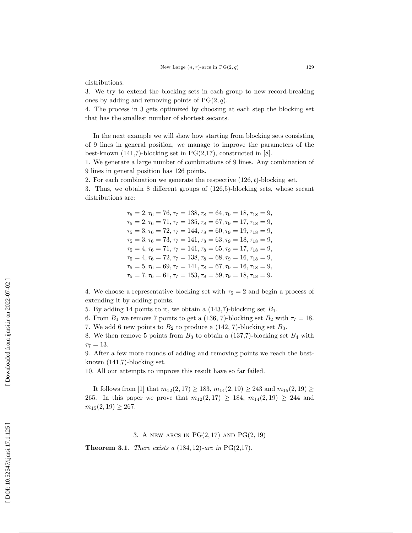distributions.

3. We try to extend the blocking sets in each group to new record-breaking ones by adding and removing points of  $PG(2, q)$ .

4. The process in 3 gets optimized by choosing at each step the blocking set that has the smallest number of shortest secants.

In the next example we will show how starting from blocking sets consisting of 9 lines in general position, we manage to improve the parameters of the best-known  $(141,7)$ -blocking set in PG $(2,17)$ , constructed in [8].

1. We generate a large number of combinations of 9 lines. Any combination of 9 lines in general position has 126 points.

2. For each combination we generate the respective  $(126, t)$ -blocking set.

3. Thus, we obtain 8 different groups of (126,5)-blocking sets, whose secant distributions are:

> $\tau_5 = 2, \tau_6 = 76, \tau_7 = 138, \tau_8 = 64, \tau_9 = 18, \tau_{18} = 9,$  $\tau_5 = 2, \tau_6 = 71, \tau_7 = 135, \tau_8 = 67, \tau_9 = 17, \tau_{18} = 9,$  $\tau_5 = 3, \tau_6 = 72, \tau_7 = 144, \tau_8 = 60, \tau_9 = 19, \tau_{18} = 9,$  $\tau_5 = 3, \tau_6 = 73, \tau_7 = 141, \tau_8 = 63, \tau_9 = 18, \tau_{18} = 9,$  $\tau_5 = 4, \tau_6 = 71, \tau_7 = 141, \tau_8 = 65, \tau_9 = 17, \tau_{18} = 9,$  $\tau_5 = 4, \tau_6 = 72, \tau_7 = 138, \tau_8 = 68, \tau_9 = 16, \tau_{18} = 9,$  $\tau_5 = 5, \tau_6 = 69, \tau_7 = 141, \tau_8 = 67, \tau_9 = 16, \tau_{18} = 9,$  $\tau_5 = 7, \tau_6 = 61, \tau_7 = 153, \tau_8 = 59, \tau_9 = 18, \tau_{18} = 9.$

4. We choose a representative blocking set with  $\tau_5 = 2$  and begin a process of extending it by adding points.

5. By adding 14 points to it, we obtain a  $(143,7)$ -blocking set  $B_1$ .

6. From  $B_1$  we remove 7 points to get a (136, 7)-blocking set  $B_2$  with  $\tau_7 = 18$ .

7. We add 6 new points to  $B_2$  to produce a (142, 7)-blocking set  $B_3$ .

8. We then remove 5 points from  $B_3$  to obtain a (137,7)-blocking set  $B_4$  with  $\tau_7 = 13.$ 

9. After a few more rounds of adding and removing points we reach the bestknown (141,7)-blocking set.

10. All our attempts to improve this result have so far failed.

It follows from [1] that  $m_{12}(2,17) \ge 183$ ,  $m_{14}(2,19) \ge 243$  and  $m_{15}(2,19) \ge$ 265. In this paper we prove that  $m_{12}(2,17) \ge 184$ ,  $m_{14}(2,19) \ge 244$  and  $m_{15}(2, 19) \geq 267.$ 

3. A NEW ARCS IN  $PG(2,17)$  AND  $PG(2,19)$ 

**Theorem 3.1.** There exists a  $(184, 12)$ -arc in PG $(2,17)$ .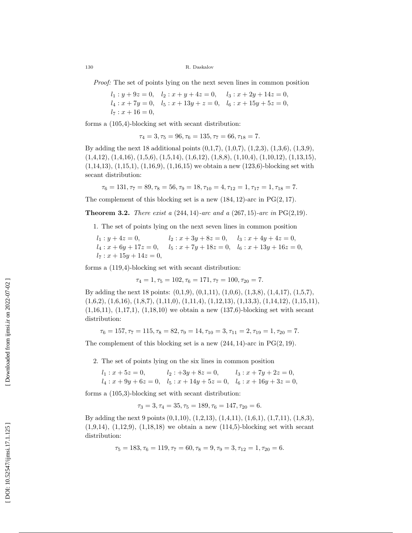130 R. Daskalov

Proof: The set of points lying on the next seven lines in common position

$$
l_1: y + 9z = 0, \quad l_2: x + y + 4z = 0, \quad l_3: x + 2y + 14z = 0,
$$
  

$$
l_4: x + 7y = 0, \quad l_5: x + 13y + z = 0, \quad l_6: x + 15y + 5z = 0,
$$
  

$$
l_7: x + 16 = 0,
$$

forms a (105,4)-blocking set with secant distribution:

$$
\tau_4 = 3, \tau_5 = 96, \tau_6 = 135, \tau_7 = 66, \tau_{18} = 7.
$$

By adding the next 18 additional points (0,1,7), (1,0,7), (1,2,3), (1,3,6), (1,3,9),  $(1,4,12), (1,4,16), (1,5,6), (1,5,14), (1,6,12), (1,8,8), (1,10,4), (1,10,12), (1,13,15),$ (1,14,13), (1,15,1), (1,16,9), (1,16,15) we obtain a new (123,6)-blocking set with secant distribution:

$$
\tau_6 = 131, \tau_7 = 89, \tau_8 = 56, \tau_9 = 18, \tau_{10} = 4, \tau_{12} = 1, \tau_{17} = 1, \tau_{18} = 7.
$$

The complement of this blocking set is a new  $(184, 12)$ -arc in PG $(2, 17)$ .

**Theorem 3.2.** There exist a  $(244, 14)$ -arc and a  $(267, 15)$ -arc in PG $(2, 19)$ .

1. The set of points lying on the next seven lines in common position

 $l_1: y + 4z = 0,$   $l_2: x + 3y + 8z = 0,$   $l_3: x + 4y + 4z = 0,$  $l_4: x + 6y + 17z = 0, \quad l_5: x + 7y + 18z = 0, \quad l_6: x + 13y + 16z = 0,$  $l_7: x + 15y + 14z = 0,$ 

forms a (119,4)-blocking set with secant distribution:

$$
\tau_4 = 1, \tau_5 = 102, \tau_6 = 171, \tau_7 = 100, \tau_{20} = 7.
$$

By adding the next 18 points: (0,1,9), (0,1,11), (1,0,6), (1,3,8), (1,4,17), (1,5,7),  $(1,6,2), (1,6,16), (1,8,7), (1,11,0), (1,11,4), (1,12,13), (1,13,3), (1,14,12), (1,15,11),$  $(1,16,11), (1,17,1), (1,18,10)$  we obtain a new  $(137,6)$ -blocking set with secant distribution:

$$
\tau_6 = 157, \tau_7 = 115, \tau_8 = 82, \tau_9 = 14, \tau_{10} = 3, \tau_{11} = 2, \tau_{19} = 1, \tau_{20} = 7.
$$

The complement of this blocking set is a new  $(244, 14)$ -arc in PG $(2, 19)$ .

2. The set of points lying on the six lines in common position

$$
l_1: x + 5z = 0,
$$
  $l_2: +3y + 8z = 0,$   $l_3: x + 7y + 2z = 0,$   
\n $l_4: x + 9y + 6z = 0,$   $l_5: x + 14y + 5z = 0,$   $l_6: x + 16y + 3z = 0,$ 

forms a (105,3)-blocking set with secant distribution:

$$
\tau_3 = 3, \tau_4 = 35, \tau_5 = 189, \tau_6 = 147, \tau_{20} = 6.
$$

By adding the next 9 points (0,1,10), (1,2,13), (1,4,11), (1,6,1), (1,7,11), (1,8,3),  $(1,9,14)$ ,  $(1,12,9)$ ,  $(1,18,18)$  we obtain a new  $(114,5)$ -blocking set with secant distribution:

$$
\tau_5 = 183, \tau_6 = 119, \tau_7 = 60, \tau_8 = 9, \tau_9 = 3, \tau_{12} = 1, \tau_{20} = 6.
$$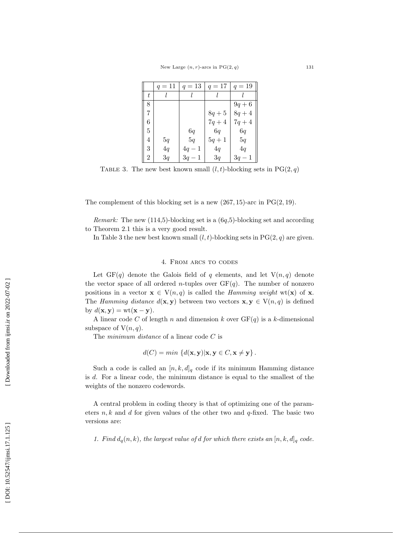|   | $q = 11$ | $q = 13$ | $q = 17$ | $q = 19$ |
|---|----------|----------|----------|----------|
| t |          |          |          |          |
| 8 |          |          |          | $9q + 6$ |
| 7 |          |          | $8q + 5$ | $8q + 4$ |
| 6 |          |          | $7q + 4$ | $7q + 4$ |
| 5 |          | 6q       | 6q       | 6q       |
| 4 | 5q       | 5q       | $5q+1$   | 5q       |
| 3 | 4q       | $4q-1$   | 4q       | 4q       |
| 2 | 3q       | $3q-1$   | 3q       | $3q-1$   |

TABLE 3. The new best known small  $(l, t)$ -blocking sets in PG $(2, q)$ 

The complement of this blocking set is a new  $(267, 15)$ -arc in PG $(2, 19)$ .

*Remark:* The new  $(114,5)$ -blocking set is a  $(6q,5)$ -blocking set and according to Theorem 2.1 this is a very good result.

In Table 3 the new best known small  $(l, t)$ -blocking sets in PG $(2, q)$  are given.

### 4. From arcs to codes

Let  $GF(q)$  denote the Galois field of q elements, and let  $V(n,q)$  denote the vector space of all ordered *n*-tuples over  $GF(q)$ . The number of nonzero positions in a vector  $\mathbf{x} \in V(n,q)$  is called the *Hamming weight* wt(**x**) of **x**. The Hamming distance  $d(\mathbf{x}, \mathbf{y})$  between two vectors  $\mathbf{x}, \mathbf{y} \in V(n,q)$  is defined by  $d(\mathbf{x}, \mathbf{y}) = \text{wt}(\mathbf{x} - \mathbf{y}).$ 

A linear code C of length n and dimension k over  $GF(q)$  is a k-dimensional subspace of  $V(n, q)$ .

The *minimum* distance of a linear code C is

$$
d(C) = min \{ d(\mathbf{x}, \mathbf{y}) | \mathbf{x}, \mathbf{y} \in C, \mathbf{x} \neq \mathbf{y} \}.
$$

Such a code is called an  $[n, k, d]_q$  code if its minimum Hamming distance is d. For a linear code, the minimum distance is equal to the smallest of the weights of the nonzero codewords.

A central problem in coding theory is that of optimizing one of the parameters  $n, k$  and d for given values of the other two and  $q$ -fixed. The basic two versions are:

1. Find  $d_q(n, k)$ , the largest value of d for which there exists an  $[n, k, d]_q$  code.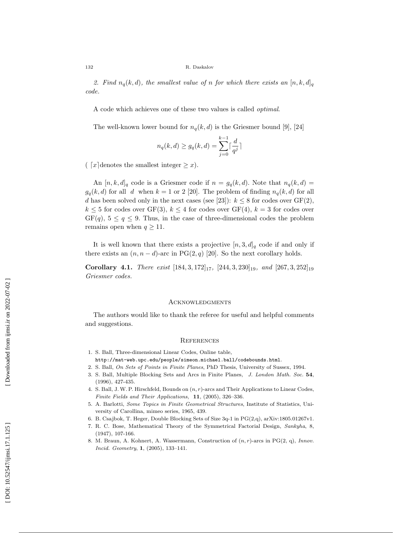2. Find  $n_q(k, d)$ , the smallest value of n for which there exists an  $[n, k, d]_q$ code.

A code which achieves one of these two values is called optimal .

The well-known lower bound for  $n_q(k, d)$  is the Griesmer bound [9], [24]

$$
n_q(k,d) \ge g_q(k,d) = \sum_{j=0}^{k-1} \lceil \frac{d}{q^j} \rceil
$$

( $[x]$ denotes the smallest integer  $\geq x$ ).

An  $[n, k, d]_q$  code is a Griesmer code if  $n = g_q(k, d)$ . Note that  $n_q(k, d)$  $g_q(k, d)$  for all d when  $k = 1$  or 2 [20]. The problem of finding  $n_q(k, d)$  for all d has been solved only in the next cases (see [23]):  $k \leq 8$  for codes over  $GF(2)$ ,  $k \leq 5$  for codes over GF(3),  $k \leq 4$  for codes over GF(4),  $k = 3$  for codes over  $GF(q)$ ,  $5 \leq q \leq 9$ . Thus, in the case of three-dimensional codes the problem remains open when  $q \geq 11$ .

It is well known that there exists a projective  $[n,3,d]_q$  code if and only if there exists an  $(n, n-d)$ -arc in PG $(2, q)$  [20]. So the next corollary holds.

**Corollary 4.1.** There exist  $[184, 3, 172]_{17}$ ,  $[244, 3, 230]_{19}$ , and  $[267, 3, 252]_{19}$ Griesmer codes.

## **ACKNOWLEDGMENTS**

The authors would like to thank the referee for useful and helpful comments and suggestions.

#### **REFERENCES**

- 1. S. Ball, Three-dimensional Linear Codes, Online table,
- http://mat-web.upc.edu/people/simeon.michael.ball/codebounds.html . 2. S. Ball, On Sets of Points in Finite Planes, PhD Thesis, University of Sussex, 1994.
- 3. S. Ball, Multiple Blocking Sets and Arcs in Finite Planes, J. London Math. Soc. 54, (1996), 427-435.
- 4. S. Ball, J.W. P. Hirschfeld, Bounds on  $(n, r)$ -arcs and Their Applications to Linear Codes, Finite Fields and Their Applications , 11, (2005), 326–336.
- 5. A. Barlotti, Some Topics in Finite Geometrical Structures, Institute of Statistics, University of Carollina, mimeo series, 1965, 439.
- 6. B. Csajbok, T. Heger, Double Blocking Sets of Size 3q-1 in PG(2,q), arXiv:1805.01267v1.
- 7. R. C. Bose, Mathematical Theory of the Symmetrical Factorial Design, Sankyha, 8, (1947), 107-166.
- 8. M. Braun, A. Kohnert, A. Wassermann, Construction of  $(n, r)$ -arcs in PG(2, q), Innov. Incid. Geometry , 1, (2005), 133–141.